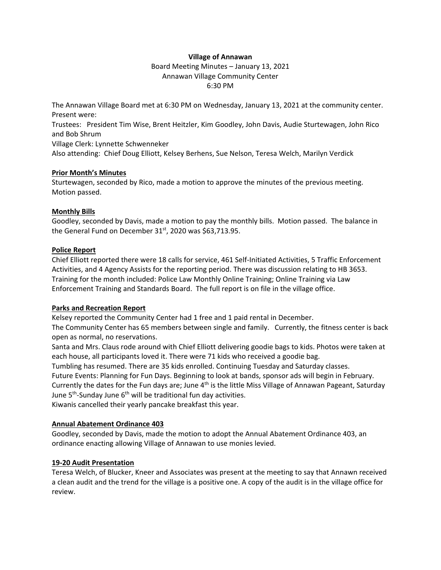### **Village of Annawan**

Board Meeting Minutes – January 13, 2021 Annawan Village Community Center 6:30 PM

The Annawan Village Board met at 6:30 PM on Wednesday, January 13, 2021 at the community center. Present were:

Trustees: President Tim Wise, Brent Heitzler, Kim Goodley, John Davis, Audie Sturtewagen, John Rico and Bob Shrum

Village Clerk: Lynnette Schwenneker

Also attending: Chief Doug Elliott, Kelsey Berhens, Sue Nelson, Teresa Welch, Marilyn Verdick

### **Prior Month's Minutes**

Sturtewagen, seconded by Rico, made a motion to approve the minutes of the previous meeting. Motion passed.

# **Monthly Bills**

Goodley, seconded by Davis, made a motion to pay the monthly bills. Motion passed. The balance in the General Fund on December 31<sup>st</sup>, 2020 was \$63,713.95.

### **Police Report**

Chief Elliott reported there were 18 calls for service, 461 Self-Initiated Activities, 5 Traffic Enforcement Activities, and 4 Agency Assists for the reporting period. There was discussion relating to HB 3653. Training for the month included: Police Law Monthly Online Training; Online Training via Law Enforcement Training and Standards Board. The full report is on file in the village office.

# **Parks and Recreation Report**

Kelsey reported the Community Center had 1 free and 1 paid rental in December.

The Community Center has 65 members between single and family. Currently, the fitness center is back open as normal, no reservations.

Santa and Mrs. Claus rode around with Chief Elliott delivering goodie bags to kids. Photos were taken at each house, all participants loved it. There were 71 kids who received a goodie bag.

Tumbling has resumed. There are 35 kids enrolled. Continuing Tuesday and Saturday classes.

Future Events: Planning for Fun Days. Beginning to look at bands, sponsor ads will begin in February.

Currently the dates for the Fun days are; June 4<sup>th</sup> is the little Miss Village of Annawan Pageant, Saturday June 5<sup>th</sup>-Sunday June 6<sup>th</sup> will be traditional fun day activities.

Kiwanis cancelled their yearly pancake breakfast this year.

# **Annual Abatement Ordinance 403**

Goodley, seconded by Davis, made the motion to adopt the Annual Abatement Ordinance 403, an ordinance enacting allowing Village of Annawan to use monies levied.

# **19-20 Audit Presentation**

Teresa Welch, of Blucker, Kneer and Associates was present at the meeting to say that Annawn received a clean audit and the trend for the village is a positive one. A copy of the audit is in the village office for review.